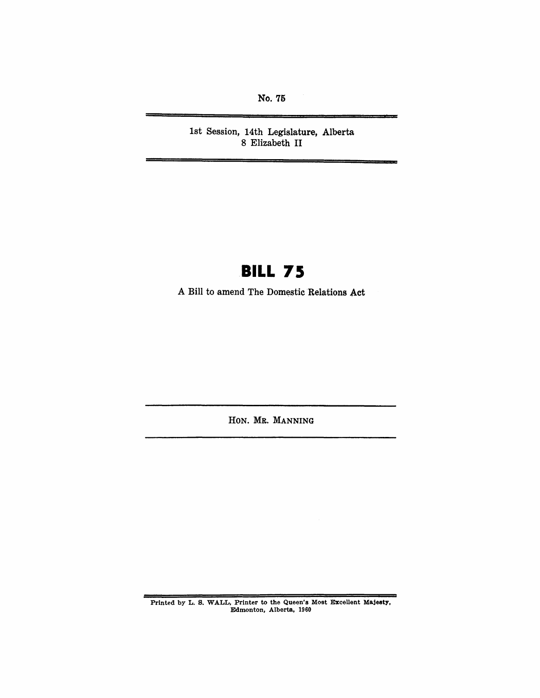No. 75

1st Session, 14th Legislature, Alberta 8 Elizabeth II

# **BILL 75**

A Bill to amend The Domestic Relations Act

HON. MR. MANNING

Printed by L. S. WALL, Printer to the Queen's Most Excellent Majeaty, Edmonton, Alberta, 1960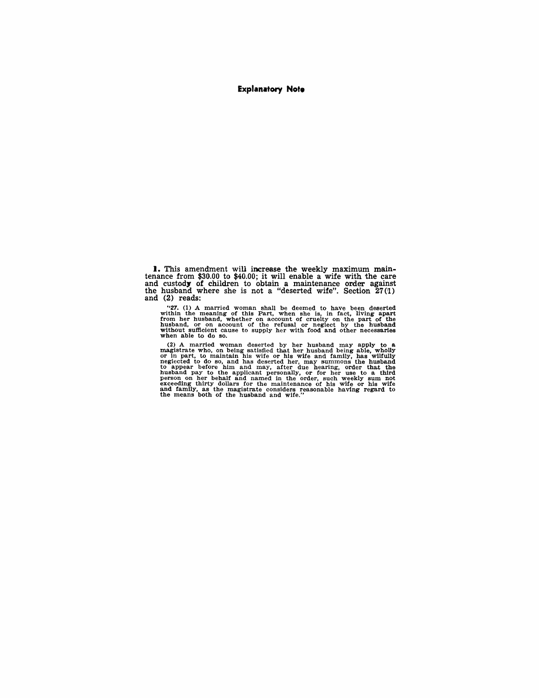#### **Explanatory Note**

**1.** This amendment will increase the weekly maximum maintenance from \$30.00 to \$40.00; it will enable a wife with the care and custody of children to obtain a maintenance order against the husband where she is not a "deserted wife". Section 27(1) and  $(2)$  reads:

"27. (1) A married woman shall be deemed to have been deserted<br>within the meaning of this Part, when she is, in fact, living apart<br>from her husband, whether on account of cruelty on the part of the<br>husband, or on account

(2) A married woman deserted by her husband may apply to a magistrate who, on being satisfied that her husband being solicy for in part, to maintain his wife or his wife and family, has wifully neglected to do so, and has and family, as the magistrate considers reasonable having regard to the means both of the husband and wife."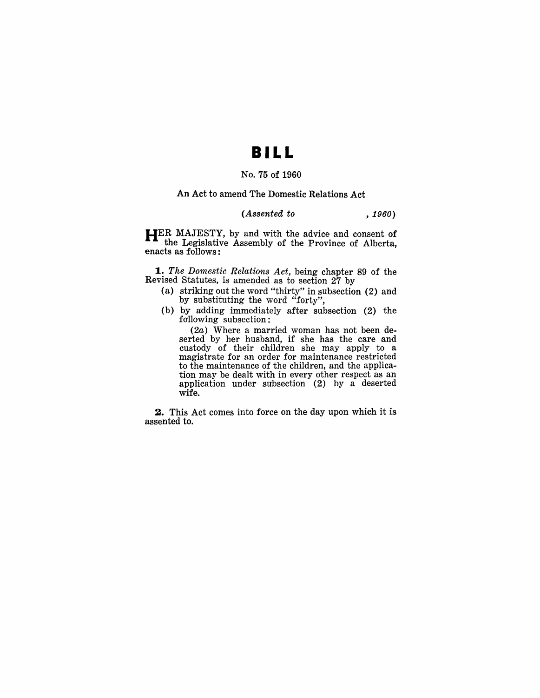### **II LL**

### No. 75 of 1960

#### An Act to amend The Domestic Relations Act

#### *(Assented to , 1960)*

**HER** MAJESTY, by and with the advice and consent of the Legislative Assembly of the Province of Alberta, enacts as follows:

*1.. The Domestic Relations Act,* being chapter 89 of the Revised Statutes, is amended as to section 27 by

- (a) striking out the word "thirty" in subsection (2) and by substituting the word "forty",
- (b) by adding immediately after subsection (2) the following subsection:

(2a) Where a married woman has not been deserted by her husband, if she has the care and custody of their children she may apply to a magistrate for an order for maintenance restricted to the maintenance of the children, and the application may be dealt with in every other respect as an application under subsection (2) by a deserted wife.

**2.** This Act comes into force on the day upon which it is assented to.